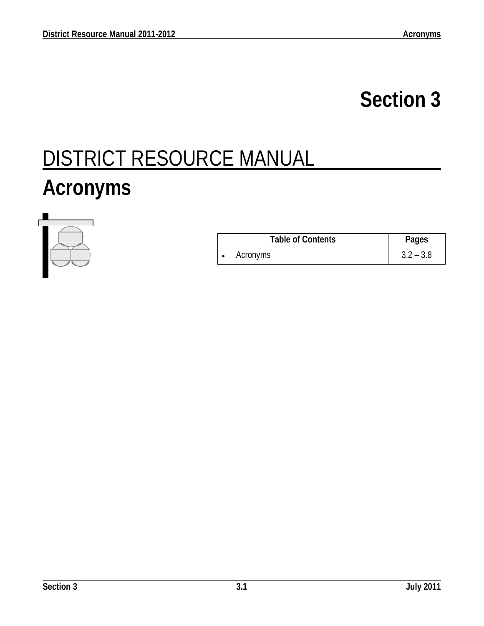## **Section 3**

## DISTRICT RESOURCE MANUAL

## **Acronyms**



| <b>Table of Contents</b> | Pages       |
|--------------------------|-------------|
| Acronyms                 | $3.2 - 3.8$ |

l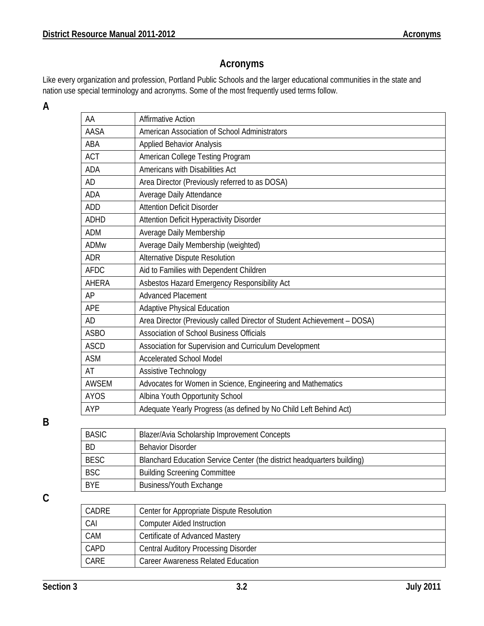## **Acronyms**

Like every organization and profession, Portland Public Schools and the larger educational communities in the state and nation use special terminology and acronyms. Some of the most frequently used terms follow.

**A** 

| AA           | <b>Affirmative Action</b>                                                |
|--------------|--------------------------------------------------------------------------|
| AASA         | American Association of School Administrators                            |
| ABA          | <b>Applied Behavior Analysis</b>                                         |
| <b>ACT</b>   | American College Testing Program                                         |
| <b>ADA</b>   | Americans with Disabilities Act                                          |
| <b>AD</b>    | Area Director (Previously referred to as DOSA)                           |
| <b>ADA</b>   | Average Daily Attendance                                                 |
| <b>ADD</b>   | <b>Attention Deficit Disorder</b>                                        |
| <b>ADHD</b>  | Attention Deficit Hyperactivity Disorder                                 |
| <b>ADM</b>   | Average Daily Membership                                                 |
| <b>ADMw</b>  | Average Daily Membership (weighted)                                      |
| <b>ADR</b>   | Alternative Dispute Resolution                                           |
| <b>AFDC</b>  | Aid to Families with Dependent Children                                  |
| AHERA        | Asbestos Hazard Emergency Responsibility Act                             |
| AP           | <b>Advanced Placement</b>                                                |
| APE          | <b>Adaptive Physical Education</b>                                       |
| <b>AD</b>    | Area Director (Previously called Director of Student Achievement - DOSA) |
| <b>ASBO</b>  | <b>Association of School Business Officials</b>                          |
| <b>ASCD</b>  | Association for Supervision and Curriculum Development                   |
| <b>ASM</b>   | <b>Accelerated School Model</b>                                          |
| AT           | Assistive Technology                                                     |
| <b>AWSEM</b> | Advocates for Women in Science, Engineering and Mathematics              |
| <b>AYOS</b>  | Albina Youth Opportunity School                                          |
| AYP          | Adequate Yearly Progress (as defined by No Child Left Behind Act)        |
|              |                                                                          |

**B** 

| <b>BASIC</b> | Blazer/Avia Scholarship Improvement Concepts                            |
|--------------|-------------------------------------------------------------------------|
| <b>BD</b>    | <b>Behavior Disorder</b>                                                |
| <b>BESC</b>  | Blanchard Education Service Center (the district headquarters building) |
| <b>BSC</b>   | <b>Building Screening Committee</b>                                     |
| <b>BYE</b>   | <b>Business/Youth Exchange</b>                                          |

**C** 

l

| CADRE       | Center for Appropriate Dispute Resolution   |
|-------------|---------------------------------------------|
| CAI         | <b>Computer Aided Instruction</b>           |
| CAM         | <b>Certificate of Advanced Mastery</b>      |
| <b>CAPD</b> | <b>Central Auditory Processing Disorder</b> |
| CARF        | Career Awareness Related Education          |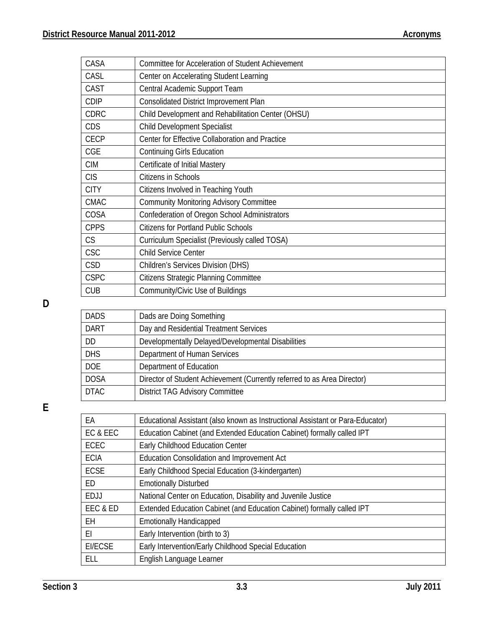| CASA        | Committee for Acceleration of Student Achievement  |
|-------------|----------------------------------------------------|
| CASL        | Center on Accelerating Student Learning            |
| CAST        | Central Academic Support Team                      |
| <b>CDIP</b> | Consolidated District Improvement Plan             |
| <b>CDRC</b> | Child Development and Rehabilitation Center (OHSU) |
| CDS         | <b>Child Development Specialist</b>                |
| <b>CECP</b> | Center for Effective Collaboration and Practice    |
| <b>CGE</b>  | <b>Continuing Girls Education</b>                  |
| <b>CIM</b>  | Certificate of Initial Mastery                     |
| <b>CIS</b>  | Citizens in Schools                                |
| <b>CITY</b> | Citizens Involved in Teaching Youth                |
| <b>CMAC</b> | <b>Community Monitoring Advisory Committee</b>     |
| COSA        | Confederation of Oregon School Administrators      |
| <b>CPPS</b> | <b>Citizens for Portland Public Schools</b>        |
| CS          | Curriculum Specialist (Previously called TOSA)     |
| <b>CSC</b>  | <b>Child Service Center</b>                        |
| <b>CSD</b>  | <b>Children's Services Division (DHS)</b>          |
| <b>CSPC</b> | <b>Citizens Strategic Planning Committee</b>       |
| <b>CUB</b>  | Community/Civic Use of Buildings                   |

**D** 

| <b>DADS</b> | Dads are Doing Something                                                 |
|-------------|--------------------------------------------------------------------------|
| <b>DART</b> | Day and Residential Treatment Services                                   |
| DD          | Developmentally Delayed/Developmental Disabilities                       |
| <b>DHS</b>  | Department of Human Services                                             |
| <b>DOE</b>  | Department of Education                                                  |
| <b>DOSA</b> | Director of Student Achievement (Currently referred to as Area Director) |
| <b>DTAC</b> | <b>District TAG Advisory Committee</b>                                   |

**E** 

| EA          | Educational Assistant (also known as Instructional Assistant or Para-Educator) |
|-------------|--------------------------------------------------------------------------------|
| EC & EEC    | Education Cabinet (and Extended Education Cabinet) formally called IPT         |
| ECEC        | Early Childhood Education Center                                               |
| <b>ECIA</b> | Education Consolidation and Improvement Act                                    |
| <b>ECSE</b> | Early Childhood Special Education (3-kindergarten)                             |
| ED          | <b>Emotionally Disturbed</b>                                                   |
| EDJJ        | National Center on Education, Disability and Juvenile Justice                  |
| EEC & ED    | Extended Education Cabinet (and Education Cabinet) formally called IPT         |
| EН          | <b>Emotionally Handicapped</b>                                                 |
| ΕI          | Early Intervention (birth to 3)                                                |
| EI/ECSE     | Early Intervention/Early Childhood Special Education                           |
| ELL         | English Language Learner                                                       |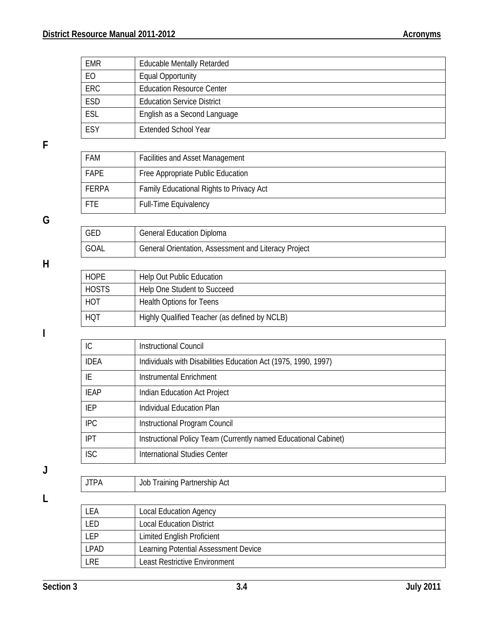| <b>EMR</b>   | <b>Educable Mentally Retarded</b>        |
|--------------|------------------------------------------|
| EO           | <b>Equal Opportunity</b>                 |
| <b>ERC</b>   | <b>Education Resource Center</b>         |
| <b>ESD</b>   | <b>Education Service District</b>        |
| <b>ESL</b>   | English as a Second Language             |
| ESY          | <b>Extended School Year</b>              |
|              |                                          |
| <b>FAM</b>   | <b>Facilities and Asset Management</b>   |
| <b>FAPE</b>  | Free Appropriate Public Education        |
| <b>FERPA</b> | Family Educational Rights to Privacy Act |
| <b>FTE</b>   | <b>Full-Time Equivalency</b>             |
|              |                                          |
| <b>GED</b>   | <b>General Education Diploma</b>         |

**H** 

**G** 

**F** 

| <b>HOPE</b>  | <b>Help Out Public Education</b>              |
|--------------|-----------------------------------------------|
| <b>HOSTS</b> | Help One Student to Succeed                   |
| <b>HOT</b>   | <b>Health Options for Teens</b>               |
| <b>HQT</b>   | Highly Qualified Teacher (as defined by NCLB) |

GOAL General Orientation, Assessment and Literacy Project

**I** 

| IC          | <b>Instructional Council</b>                                    |
|-------------|-----------------------------------------------------------------|
| <b>IDEA</b> | Individuals with Disabilities Education Act (1975, 1990, 1997)  |
| IE          | Instrumental Enrichment                                         |
| <b>IEAP</b> | Indian Education Act Project                                    |
| <b>IEP</b>  | Individual Education Plan                                       |
| <b>IPC</b>  | Instructional Program Council                                   |
| <b>IPT</b>  | Instructional Policy Team (Currently named Educational Cabinet) |
| <b>ISC</b>  | International Studies Center                                    |
|             |                                                                 |
| <b>JTPA</b> | Job Training Partnership Act                                    |

**L** 

**J**

| FA        | <b>Local Education Agency</b>        |
|-----------|--------------------------------------|
| -ED       | <b>Local Education District</b>      |
| <b>FP</b> | <b>Limited English Proficient</b>    |
| LPAD      | Learning Potential Assessment Device |
| LRE       | Least Restrictive Environment        |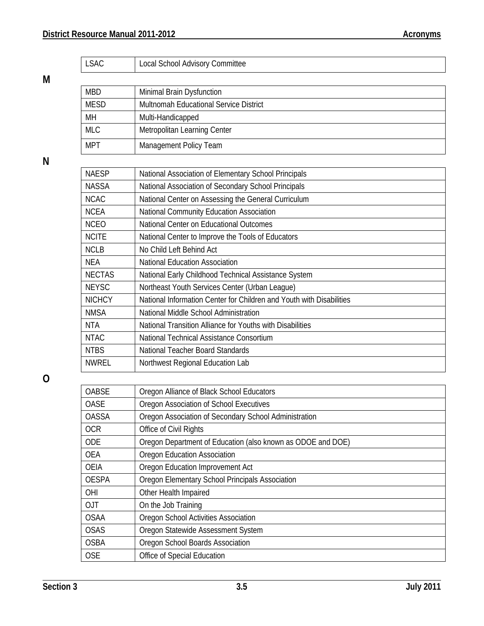| <b>LSAC</b>   | Local School Advisory Committee                                      |
|---------------|----------------------------------------------------------------------|
|               |                                                                      |
| <b>MBD</b>    | Minimal Brain Dysfunction                                            |
| <b>MESD</b>   | Multnomah Educational Service District                               |
| MН            | Multi-Handicapped                                                    |
| <b>MLC</b>    | Metropolitan Learning Center                                         |
| <b>MPT</b>    | Management Policy Team                                               |
|               |                                                                      |
| <b>NAESP</b>  | National Association of Elementary School Principals                 |
| <b>NASSA</b>  | National Association of Secondary School Principals                  |
| <b>NCAC</b>   | National Center on Assessing the General Curriculum                  |
| <b>NCEA</b>   | National Community Education Association                             |
| <b>NCEO</b>   | National Center on Educational Outcomes                              |
| <b>NCITE</b>  | National Center to Improve the Tools of Educators                    |
| <b>NCLB</b>   | No Child Left Behind Act                                             |
| <b>NEA</b>    | <b>National Education Association</b>                                |
| <b>NECTAS</b> | National Early Childhood Technical Assistance System                 |
| <b>NEYSC</b>  | Northeast Youth Services Center (Urban League)                       |
| <b>NICHCY</b> | National Information Center for Children and Youth with Disabilities |
| <b>NMSA</b>   | National Middle School Administration                                |
| <b>NTA</b>    | National Transition Alliance for Youths with Disabilities            |
| <b>NTAC</b>   | National Technical Assistance Consortium                             |
| <b>NTBS</b>   | National Teacher Board Standards                                     |
| <b>NWREL</b>  | Northwest Regional Education Lab                                     |

**O** 

**M** 

**N** 

| <b>OABSE</b> | Oregon Alliance of Black School Educators                   |
|--------------|-------------------------------------------------------------|
| <b>OASE</b>  | Oregon Association of School Executives                     |
| <b>OASSA</b> | Oregon Association of Secondary School Administration       |
| <b>OCR</b>   | Office of Civil Rights                                      |
| <b>ODE</b>   | Oregon Department of Education (also known as ODOE and DOE) |
| <b>OEA</b>   | Oregon Education Association                                |
| <b>OEIA</b>  | Oregon Education Improvement Act                            |
| <b>OESPA</b> | Oregon Elementary School Principals Association             |
| <b>OHI</b>   | Other Health Impaired                                       |
| <b>OJT</b>   | On the Job Training                                         |
| <b>OSAA</b>  | Oregon School Activities Association                        |
| <b>OSAS</b>  | Oregon Statewide Assessment System                          |
| <b>OSBA</b>  | Oregon School Boards Association                            |
| <b>OSE</b>   | Office of Special Education                                 |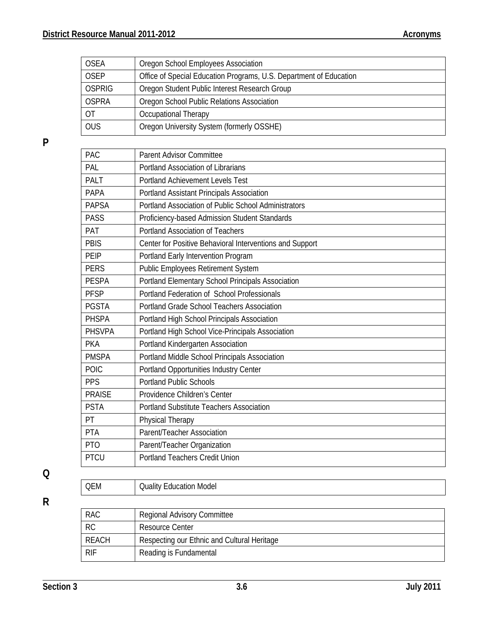| <b>OSEA</b>  | Oregon School Employees Association                                |
|--------------|--------------------------------------------------------------------|
| <b>OSEP</b>  | Office of Special Education Programs, U.S. Department of Education |
| OSPRIG       | Oregon Student Public Interest Research Group                      |
| <b>OSPRA</b> | Oregon School Public Relations Association                         |
| OT           | Occupational Therapy                                               |
| <b>OUS</b>   | Oregon University System (formerly OSSHE)                          |

**P** 

| PAC             | <b>Parent Advisor Committee</b>                          |
|-----------------|----------------------------------------------------------|
| PAL             | Portland Association of Librarians                       |
| <b>PALT</b>     | <b>Portland Achievement Levels Test</b>                  |
| <b>PAPA</b>     | Portland Assistant Principals Association                |
| <b>PAPSA</b>    | Portland Association of Public School Administrators     |
| <b>PASS</b>     | Proficiency-based Admission Student Standards            |
| PAT             | <b>Portland Association of Teachers</b>                  |
| PBIS            | Center for Positive Behavioral Interventions and Support |
| PEIP            | Portland Early Intervention Program                      |
| <b>PERS</b>     | Public Employees Retirement System                       |
| <b>PESPA</b>    | Portland Elementary School Principals Association        |
| <b>PFSP</b>     | Portland Federation of School Professionals              |
| <b>PGSTA</b>    | <b>Portland Grade School Teachers Association</b>        |
| <b>PHSPA</b>    | Portland High School Principals Association              |
| <b>PHSVPA</b>   | Portland High School Vice-Principals Association         |
| <b>PKA</b>      | Portland Kindergarten Association                        |
| <b>PMSPA</b>    | Portland Middle School Principals Association            |
| POIC            | Portland Opportunities Industry Center                   |
| <b>PPS</b>      | <b>Portland Public Schools</b>                           |
| <b>PRAISE</b>   | Providence Children's Center                             |
| <b>PSTA</b>     | <b>Portland Substitute Teachers Association</b>          |
| PT              | Physical Therapy                                         |
| PTA             | Parent/Teacher Association                               |
| PT <sub>O</sub> | Parent/Teacher Organization                              |
| <b>PTCU</b>     | <b>Portland Teachers Credit Union</b>                    |
|                 |                                                          |
| <b>QEM</b>      | <b>Quality Education Model</b>                           |

**Q R** 

| <b>RAC</b>   | <b>Regional Advisory Committee</b>          |
|--------------|---------------------------------------------|
| <b>RC</b>    | <b>Resource Center</b>                      |
| <b>REACH</b> | Respecting our Ethnic and Cultural Heritage |
| <b>RIF</b>   | Reading is Fundamental                      |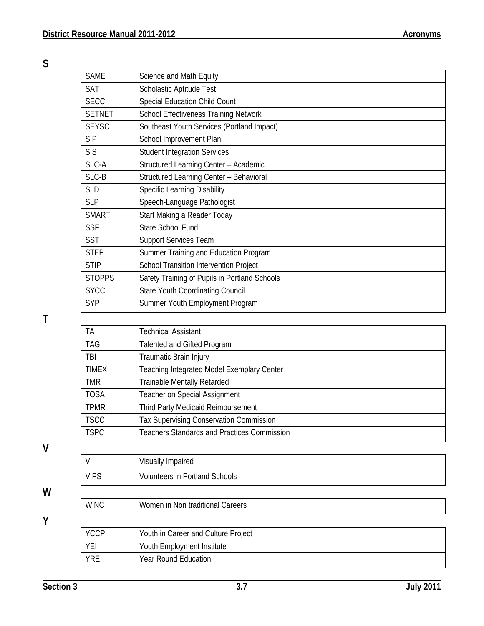**S** 

| <b>SAME</b>   | Science and Math Equity                       |
|---------------|-----------------------------------------------|
| <b>SAT</b>    | Scholastic Aptitude Test                      |
| <b>SECC</b>   | <b>Special Education Child Count</b>          |
| <b>SETNET</b> | <b>School Effectiveness Training Network</b>  |
| <b>SEYSC</b>  | Southeast Youth Services (Portland Impact)    |
| <b>SIP</b>    | School Improvement Plan                       |
| <b>SIS</b>    | <b>Student Integration Services</b>           |
| SLC-A         | Structured Learning Center - Academic         |
| SLC-B         | Structured Learning Center - Behavioral       |
| <b>SLD</b>    | <b>Specific Learning Disability</b>           |
| <b>SLP</b>    | Speech-Language Pathologist                   |
| <b>SMART</b>  | Start Making a Reader Today                   |
| <b>SSF</b>    | <b>State School Fund</b>                      |
| <b>SST</b>    | <b>Support Services Team</b>                  |
| <b>STEP</b>   | Summer Training and Education Program         |
| <b>STIP</b>   | School Transition Intervention Project        |
| <b>STOPPS</b> | Safety Training of Pupils in Portland Schools |
| <b>SYCC</b>   | <b>State Youth Coordinating Council</b>       |
| <b>SYP</b>    | Summer Youth Employment Program               |

**T** 

| <b>TA</b>    | <b>Technical Assistant</b>                         |
|--------------|----------------------------------------------------|
| <b>TAG</b>   | Talented and Gifted Program                        |
| TBI          | Traumatic Brain Injury                             |
| <b>TIMEX</b> | Teaching Integrated Model Exemplary Center         |
| <b>TMR</b>   | <b>Trainable Mentally Retarded</b>                 |
| <b>TOSA</b>  | <b>Teacher on Special Assignment</b>               |
| <b>TPMR</b>  | Third Party Medicaid Reimbursement                 |
| <b>TSCC</b>  | <b>Tax Supervising Conservation Commission</b>     |
| <b>TSPC</b>  | <b>Teachers Standards and Practices Commission</b> |

**V** 

**W** 

**Y** 

| VI          | Visually Impaired                     |
|-------------|---------------------------------------|
| <b>VIPS</b> | <b>Volunteers in Portland Schools</b> |
|             |                                       |
| <b>WINC</b> | Women in Non traditional Careers      |
|             |                                       |
| <b>YCCP</b> | Youth in Career and Culture Project   |
| YEI         | Youth Employment Institute            |

YRE Year Round Education